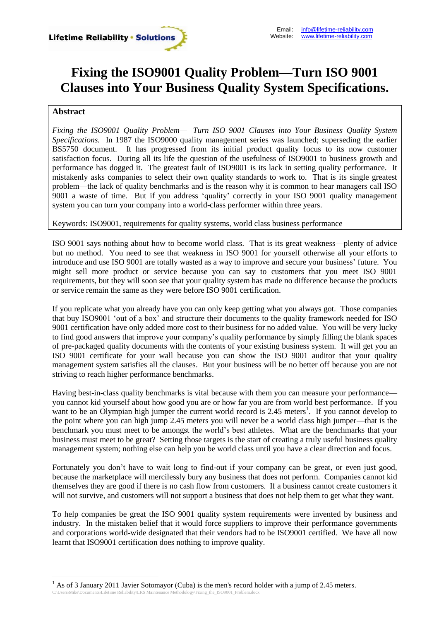

## **Fixing the ISO9001 Quality Problem—Turn ISO 9001 Clauses into Your Business Quality System Specifications.**

## **Abstract**

*Fixing the ISO9001 Quality Problem— Turn ISO 9001 Clauses into Your Business Quality System Specifications.* In 1987 the ISO9000 quality management series was launched; superseding the earlier BS5750 document. It has progressed from its initial product quality focus to its now customer satisfaction focus. During all its life the question of the usefulness of ISO9001 to business growth and performance has dogged it. The greatest fault of ISO9001 is its lack in setting quality performance. It mistakenly asks companies to select their own quality standards to work to. That is its single greatest problem—the lack of quality benchmarks and is the reason why it is common to hear managers call ISO 9001 a waste of time. But if you address 'quality' correctly in your ISO 9001 quality management system you can turn your company into a world-class performer within three years.

## Keywords: ISO9001, requirements for quality systems, world class business performance

ISO 9001 says nothing about how to become world class. That is its great weakness—plenty of advice but no method. You need to see that weakness in ISO 9001 for yourself otherwise all your efforts to introduce and use ISO 9001 are totally wasted as a way to improve and secure your business' future. You might sell more product or service because you can say to customers that you meet ISO 9001 requirements, but they will soon see that your quality system has made no difference because the products or service remain the same as they were before ISO 9001 certification.

If you replicate what you already have you can only keep getting what you always got. Those companies that buy ISO9001 'out of a box' and structure their documents to the quality framework needed for ISO 9001 certification have only added more cost to their business for no added value. You will be very lucky to find good answers that improve your company's quality performance by simply filling the blank spaces of pre-packaged quality documents with the contents of your existing business system. It will get you an ISO 9001 certificate for your wall because you can show the ISO 9001 auditor that your quality management system satisfies all the clauses. But your business will be no better off because you are not striving to reach higher performance benchmarks.

Having best-in-class quality benchmarks is vital because with them you can measure your performance you cannot kid yourself about how good you are or how far you are from world best performance. If you want to be an Olympian high jumper the current world record is  $2.45$  meters<sup>1</sup>. If you cannot develop to the point where you can high jump 2.45 meters you will never be a world class high jumper—that is the benchmark you must meet to be amongst the world's best athletes. What are the benchmarks that your business must meet to be great? Setting those targets is the start of creating a truly useful business quality management system; nothing else can help you be world class until you have a clear direction and focus.

Fortunately you don't have to wait long to find-out if your company can be great, or even just good, because the marketplace will mercilessly bury any business that does not perform. Companies cannot kid themselves they are good if there is no cash flow from customers. If a business cannot create customers it will not survive, and customers will not support a business that does not help them to get what they want.

To help companies be great the ISO 9001 quality system requirements were invented by business and industry. In the mistaken belief that it would force suppliers to improve their performance governments and corporations world-wide designated that their vendors had to be ISO9001 certified. We have all now learnt that ISO9001 certification does nothing to improve quality.

 $\overline{a}$ 

<sup>&</sup>lt;sup>1</sup> As of 3 January 2011 Javier Sotomayor (Cuba) is the men's record holder with a jump of 2.45 meters.

C:\Users\Mike\Documents\Lifetime Reliability\LRS Maintenance Methodology\Fixing\_the\_ISO9001\_Problem.docx